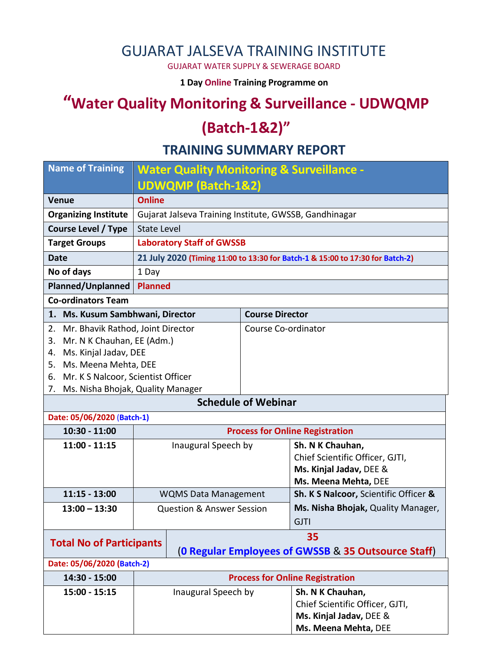### GUJARAT JALSEVA TRAINING INSTITUTE

GUJARAT WATER SUPPLY & SEWERAGE BOARD

**1 Day Online Training Programme on** 

# **"Water Quality Monitoring & Surveillance - UDWQMP**

### **(Batch-1&2)"**

#### **TRAINING SUMMARY REPORT**

| <b>Water Quality Monitoring &amp; Surveillance -</b>                                   |                                                                                                           |                                                                                                                                                                        |                                                                                                                                                                                                                                                                                                         |
|----------------------------------------------------------------------------------------|-----------------------------------------------------------------------------------------------------------|------------------------------------------------------------------------------------------------------------------------------------------------------------------------|---------------------------------------------------------------------------------------------------------------------------------------------------------------------------------------------------------------------------------------------------------------------------------------------------------|
| <b>UDWQMP (Batch-1&amp;2)</b>                                                          |                                                                                                           |                                                                                                                                                                        |                                                                                                                                                                                                                                                                                                         |
| <b>Online</b>                                                                          |                                                                                                           |                                                                                                                                                                        |                                                                                                                                                                                                                                                                                                         |
|                                                                                        |                                                                                                           |                                                                                                                                                                        |                                                                                                                                                                                                                                                                                                         |
|                                                                                        |                                                                                                           |                                                                                                                                                                        |                                                                                                                                                                                                                                                                                                         |
|                                                                                        |                                                                                                           |                                                                                                                                                                        |                                                                                                                                                                                                                                                                                                         |
|                                                                                        |                                                                                                           |                                                                                                                                                                        |                                                                                                                                                                                                                                                                                                         |
| 1 Day                                                                                  |                                                                                                           |                                                                                                                                                                        |                                                                                                                                                                                                                                                                                                         |
| <b>Planned</b>                                                                         |                                                                                                           |                                                                                                                                                                        |                                                                                                                                                                                                                                                                                                         |
|                                                                                        |                                                                                                           |                                                                                                                                                                        |                                                                                                                                                                                                                                                                                                         |
|                                                                                        |                                                                                                           | <b>Course Director</b>                                                                                                                                                 |                                                                                                                                                                                                                                                                                                         |
|                                                                                        |                                                                                                           | Course Co-ordinator                                                                                                                                                    |                                                                                                                                                                                                                                                                                                         |
|                                                                                        |                                                                                                           |                                                                                                                                                                        |                                                                                                                                                                                                                                                                                                         |
|                                                                                        |                                                                                                           |                                                                                                                                                                        |                                                                                                                                                                                                                                                                                                         |
|                                                                                        |                                                                                                           |                                                                                                                                                                        |                                                                                                                                                                                                                                                                                                         |
|                                                                                        |                                                                                                           |                                                                                                                                                                        |                                                                                                                                                                                                                                                                                                         |
|                                                                                        |                                                                                                           |                                                                                                                                                                        |                                                                                                                                                                                                                                                                                                         |
|                                                                                        |                                                                                                           |                                                                                                                                                                        |                                                                                                                                                                                                                                                                                                         |
|                                                                                        | <b>Process for Online Registration</b>                                                                    |                                                                                                                                                                        |                                                                                                                                                                                                                                                                                                         |
|                                                                                        |                                                                                                           |                                                                                                                                                                        | Sh. N K Chauhan,                                                                                                                                                                                                                                                                                        |
|                                                                                        |                                                                                                           |                                                                                                                                                                        | Chief Scientific Officer, GJTI,                                                                                                                                                                                                                                                                         |
|                                                                                        |                                                                                                           |                                                                                                                                                                        | Ms. Kinjal Jadav, DEE &<br>Ms. Meena Mehta, DEE                                                                                                                                                                                                                                                         |
|                                                                                        |                                                                                                           |                                                                                                                                                                        | Sh. K S Nalcoor, Scientific Officer &                                                                                                                                                                                                                                                                   |
|                                                                                        |                                                                                                           |                                                                                                                                                                        | Ms. Nisha Bhojak, Quality Manager,                                                                                                                                                                                                                                                                      |
|                                                                                        |                                                                                                           |                                                                                                                                                                        | <b>GJTI</b>                                                                                                                                                                                                                                                                                             |
| 35                                                                                     |                                                                                                           |                                                                                                                                                                        |                                                                                                                                                                                                                                                                                                         |
| <b>Total No of Participants</b><br>(0 Regular Employees of GWSSB & 35 Outsource Staff) |                                                                                                           |                                                                                                                                                                        |                                                                                                                                                                                                                                                                                                         |
| Date: 05/06/2020 (Batch-2)                                                             |                                                                                                           |                                                                                                                                                                        |                                                                                                                                                                                                                                                                                                         |
| <b>Process for Online Registration</b>                                                 |                                                                                                           |                                                                                                                                                                        |                                                                                                                                                                                                                                                                                                         |
| Inaugural Speech by<br>Sh. N K Chauhan,                                                |                                                                                                           |                                                                                                                                                                        |                                                                                                                                                                                                                                                                                                         |
|                                                                                        |                                                                                                           |                                                                                                                                                                        |                                                                                                                                                                                                                                                                                                         |
|                                                                                        |                                                                                                           |                                                                                                                                                                        | Chief Scientific Officer, GJTI,<br>Ms. Kinjal Jadav, DEE &                                                                                                                                                                                                                                              |
| <b>Planned/Unplanned</b>                                                               | Mr. N K Chauhan, EE (Adm.)<br>Ms. Kinjal Jadav, DEE<br>Ms. Meena Mehta, DEE<br>Date: 05/06/2020 (Batch-1) | <b>State Level</b><br>1. Ms. Kusum Sambhwani, Director<br>Mr. Bhavik Rathod, Joint Director<br>Mr. K S Nalcoor, Scientist Officer<br>Ms. Nisha Bhojak, Quality Manager | Gujarat Jalseva Training Institute, GWSSB, Gandhinagar<br><b>Laboratory Staff of GWSSB</b><br>21 July 2020 (Timing 11:00 to 13:30 for Batch-1 & 15:00 to 17:30 for Batch-2)<br><b>Schedule of Webinar</b><br>Inaugural Speech by<br><b>WQMS Data Management</b><br><b>Question &amp; Answer Session</b> |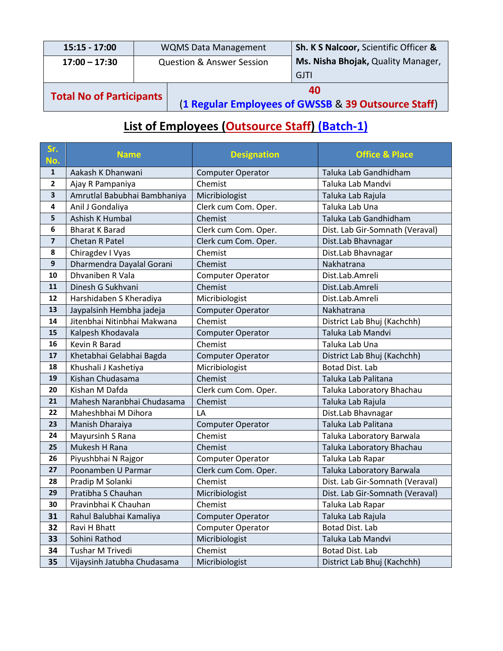| 15:15 - 17:00                   | <b>WQMS Data Management</b>          |  | Sh. K S Nalcoor, Scientific Officer &                     |
|---------------------------------|--------------------------------------|--|-----------------------------------------------------------|
| $17:00 - 17:30$                 | <b>Question &amp; Answer Session</b> |  | Ms. Nisha Bhojak, Quality Manager,                        |
|                                 |                                      |  | <b>GJTI</b>                                               |
| <b>Total No of Participants</b> |                                      |  | 40<br>(1 Regular Employees of GWSSB & 39 Outsource Staff) |

### **List of Employees (Outsource Staff) (Batch-1)**

| Sr.<br>No.   | <b>Name</b>                  | <b>Designation</b>       | <b>Office &amp; Place</b>       |
|--------------|------------------------------|--------------------------|---------------------------------|
| $\mathbf{1}$ | Aakash K Dhanwani            | <b>Computer Operator</b> | Taluka Lab Gandhidham           |
| 2            | Ajay R Pampaniya             | Chemist                  | Taluka Lab Mandvi               |
| 3            | Amrutlal Babubhai Bambhaniya | Micribiologist           | Taluka Lab Rajula               |
| 4            | Anil J Gondaliya             | Clerk cum Com. Oper.     | Taluka Lab Una                  |
| 5            | Ashish K Humbal              | Chemist                  | Taluka Lab Gandhidham           |
| 6            | <b>Bharat K Barad</b>        | Clerk cum Com. Oper.     | Dist. Lab Gir-Somnath (Veraval) |
| 7            | Chetan R Patel               | Clerk cum Com. Oper.     | Dist.Lab Bhavnagar              |
| 8            | Chiragdev I Vyas             | Chemist                  | Dist.Lab Bhavnagar              |
| 9            | Dharmendra Dayalal Gorani    | Chemist                  | Nakhatrana                      |
| 10           | Dhvaniben R Vala             | <b>Computer Operator</b> | Dist.Lab.Amreli                 |
| 11           | Dinesh G Sukhvani            | Chemist                  | Dist.Lab.Amreli                 |
| 12           | Harshidaben S Kheradiya      | Micribiologist           | Dist.Lab.Amreli                 |
| 13           | Jaypalsinh Hembha jadeja     | <b>Computer Operator</b> | Nakhatrana                      |
| 14           | Jitenbhai Nitinbhai Makwana  | Chemist                  | District Lab Bhuj (Kachchh)     |
| 15           | Kalpesh Khodavala            | <b>Computer Operator</b> | Taluka Lab Mandvi               |
| 16           | Kevin R Barad                | Chemist                  | Taluka Lab Una                  |
| 17           | Khetabhai Gelabhai Bagda     | <b>Computer Operator</b> | District Lab Bhuj (Kachchh)     |
| 18           | Khushali J Kashetiya         | Micribiologist           | Botad Dist. Lab                 |
| 19           | Kishan Chudasama             | Chemist                  | Taluka Lab Palitana             |
| 20           | Kishan M Dafda               | Clerk cum Com. Oper.     | Taluka Laboratory Bhachau       |
| 21           | Mahesh Naranbhai Chudasama   | Chemist                  | Taluka Lab Rajula               |
| 22           | Maheshbhai M Dihora          | LA                       | Dist.Lab Bhavnagar              |
| 23           | Manish Dharaiya              | <b>Computer Operator</b> | Taluka Lab Palitana             |
| 24           | Mayursinh S Rana             | Chemist                  | Taluka Laboratory Barwala       |
| 25           | Mukesh H Rana                | Chemist                  | Taluka Laboratory Bhachau       |
| 26           | Piyushbhai N Rajgor          | Computer Operator        | Taluka Lab Rapar                |
| 27           | Poonamben U Parmar           | Clerk cum Com. Oper.     | Taluka Laboratory Barwala       |
| 28           | Pradip M Solanki             | Chemist                  | Dist. Lab Gir-Somnath (Veraval) |
| 29           | Pratibha S Chauhan           | Micribiologist           | Dist. Lab Gir-Somnath (Veraval) |
| 30           | Pravinbhai K Chauhan         | Chemist                  | Taluka Lab Rapar                |
| 31           | Rahul Balubhai Kamaliya      | <b>Computer Operator</b> | Taluka Lab Rajula               |
| 32           | Ravi H Bhatt                 | Computer Operator        | Botad Dist. Lab                 |
| 33           | Sohini Rathod                | Micribiologist           | Taluka Lab Mandvi               |
| 34           | Tushar M Trivedi             | Chemist                  | Botad Dist. Lab                 |
| 35           | Vijaysinh Jatubha Chudasama  | Micribiologist           | District Lab Bhuj (Kachchh)     |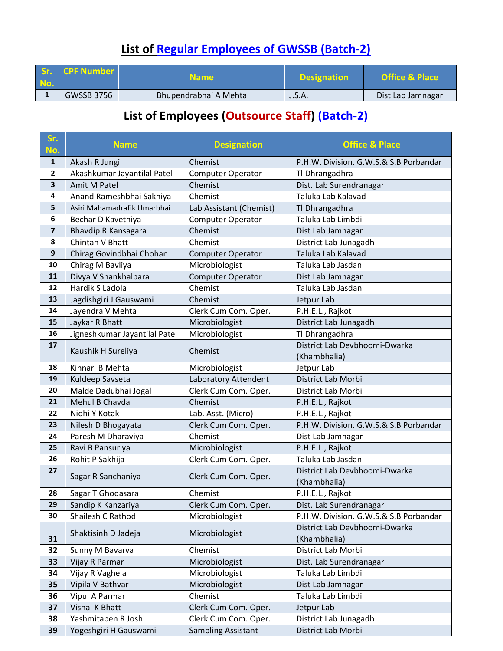## **List of Regular Employees of GWSSB (Batch-2)**

| No. | Sr. CPF Number    | <b>Name</b>           | <b>Designation</b> | <b>Office &amp; Place</b> |  |
|-----|-------------------|-----------------------|--------------------|---------------------------|--|
|     | <b>GWSSB 3756</b> | Bhupendrabhai A Mehta | J.S.A.             | Dist Lab Jamnagar         |  |

#### **List of Employees (Outsource Staff) (Batch-2)**

| Sr.<br>No.       | <b>Name</b>                   | <b>Designation</b>        | <b>Office &amp; Place</b>                     |
|------------------|-------------------------------|---------------------------|-----------------------------------------------|
| $\mathbf{1}$     | Akash R Jungi                 | Chemist                   | P.H.W. Division. G.W.S.& S.B Porbandar        |
| $\mathbf{2}$     | Akashkumar Jayantilal Patel   | <b>Computer Operator</b>  | Tl Dhrangadhra                                |
| 3                | <b>Amit M Patel</b>           | Chemist                   | Dist. Lab Surendranagar                       |
| 4                | Anand Rameshbhai Sakhiya      | Chemist                   | Taluka Lab Kalavad                            |
| 5                | Asiri Mahamadrafik Umarbhai   | Lab Assistant (Chemist)   | Tl Dhrangadhra                                |
| 6                | Bechar D Kavethiya            | <b>Computer Operator</b>  | Taluka Lab Limbdi                             |
| 7                | Bhavdip R Kansagara           | Chemist                   | Dist Lab Jamnagar                             |
| 8                | Chintan V Bhatt               | Chemist                   | District Lab Junagadh                         |
| $\boldsymbol{9}$ | Chirag Govindbhai Chohan      | <b>Computer Operator</b>  | Taluka Lab Kalavad                            |
| 10               | Chirag M Bavliya              | Microbiologist            | Taluka Lab Jasdan                             |
| 11               | Divya V Shankhalpara          | <b>Computer Operator</b>  | Dist Lab Jamnagar                             |
| 12               | Hardik S Ladola               | Chemist                   | Taluka Lab Jasdan                             |
| 13               | Jagdishgiri J Gauswami        | Chemist                   | Jetpur Lab                                    |
| 14               | Jayendra V Mehta              | Clerk Cum Com. Oper.      | P.H.E.L., Rajkot                              |
| 15               | Jaykar R Bhatt                | Microbiologist            | District Lab Junagadh                         |
| 16               | Jigneshkumar Jayantilal Patel | Microbiologist            | Tl Dhrangadhra                                |
| 17               | Kaushik H Sureliya            | Chemist                   | District Lab Devbhoomi-Dwarka                 |
|                  |                               |                           | (Khambhalia)                                  |
| 18               | Kinnari B Mehta               | Microbiologist            | Jetpur Lab                                    |
| 19               | Kuldeep Savseta               | Laboratory Attendent      | District Lab Morbi                            |
| 20               | Malde Dadubhai Jogal          | Clerk Cum Com. Oper.      | District Lab Morbi                            |
| 21               | Mehul B Chavda                | Chemist                   | P.H.E.L., Rajkot                              |
| 22               | Nidhi Y Kotak                 | Lab. Asst. (Micro)        | P.H.E.L., Rajkot                              |
| 23               | Nilesh D Bhogayata            | Clerk Cum Com. Oper.      | P.H.W. Division. G.W.S.& S.B Porbandar        |
| 24               | Paresh M Dharaviya            | Chemist                   | Dist Lab Jamnagar                             |
| 25               | Ravi B Pansuriya              | Microbiologist            | P.H.E.L., Rajkot                              |
| 26               | Rohit P Sakhija               | Clerk Cum Com. Oper.      | Taluka Lab Jasdan                             |
| 27               | Sagar R Sanchaniya            | Clerk Cum Com. Oper.      | District Lab Devbhoomi-Dwarka<br>(Khambhalia) |
| 28               | Sagar T Ghodasara             | Chemist                   | P.H.E.L., Rajkot                              |
| 29               | Sandip K Kanzariya            | Clerk Cum Com. Oper.      | Dist. Lab Surendranagar                       |
| 30               | Shailesh C Rathod             | Microbiologist            | P.H.W. Division. G.W.S.& S.B Porbandar        |
|                  |                               |                           | District Lab Devbhoomi-Dwarka                 |
| 31               | Shaktisinh D Jadeja           | Microbiologist            | (Khambhalia)                                  |
| 32               | Sunny M Bavarva               | Chemist                   | District Lab Morbi                            |
| 33               | Vijay R Parmar                | Microbiologist            | Dist. Lab Surendranagar                       |
| 34               | Vijay R Vaghela               | Microbiologist            | Taluka Lab Limbdi                             |
| 35               | Vipila V Bathvar              | Microbiologist            | Dist Lab Jamnagar                             |
| 36               | Vipul A Parmar                | Chemist                   | Taluka Lab Limbdi                             |
| 37               | Vishal K Bhatt                | Clerk Cum Com. Oper.      | Jetpur Lab                                    |
| 38               | Yashmitaben R Joshi           | Clerk Cum Com. Oper.      | District Lab Junagadh                         |
| 39               | Yogeshgiri H Gauswami         | <b>Sampling Assistant</b> | District Lab Morbi                            |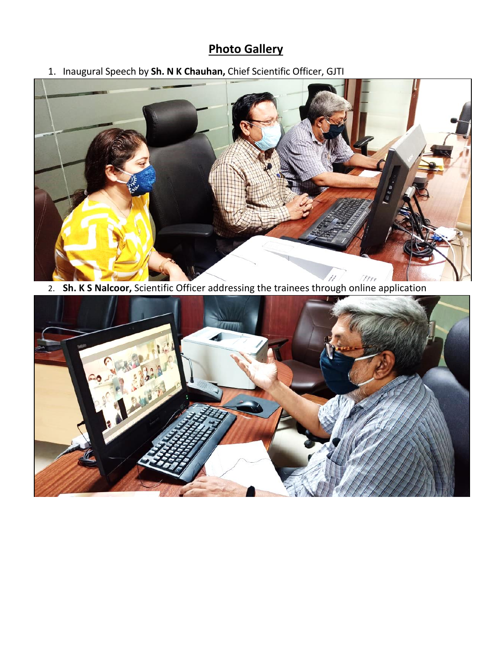#### **Photo Gallery**

1. Inaugural Speech by **Sh. N K Chauhan,** Chief Scientific Officer, GJTI



2. **Sh. K S Nalcoor,** Scientific Officer addressing the trainees through online application